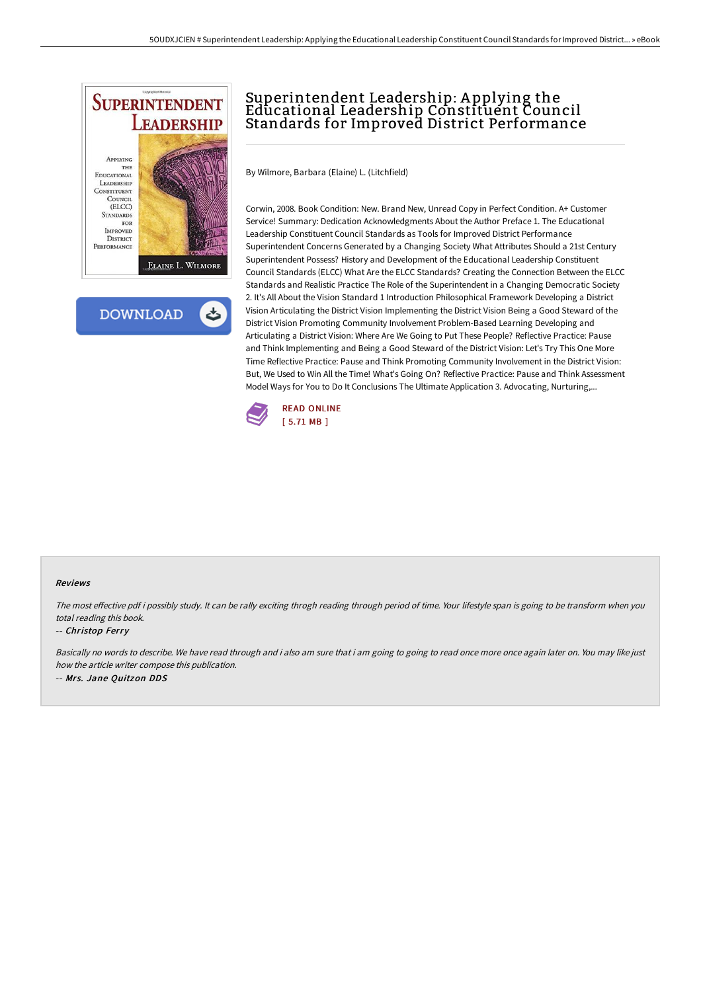

 $\rightarrow$ **DOWNLOAD** 

# Superintendent Leadership: A pplying the Educational Leadership Constituent Council Standards for Improved District Performance

By Wilmore, Barbara (Elaine) L. (Litchfield)

Corwin, 2008. Book Condition: New. Brand New, Unread Copy in Perfect Condition. A+ Customer Service! Summary: Dedication Acknowledgments About the Author Preface 1. The Educational Leadership Constituent Council Standards as Tools for Improved District Performance Superintendent Concerns Generated by a Changing Society What Attributes Should a 21st Century Superintendent Possess? History and Development of the Educational Leadership Constituent Council Standards (ELCC) What Are the ELCC Standards? Creating the Connection Between the ELCC Standards and Realistic Practice The Role of the Superintendent in a Changing Democratic Society 2. It's All About the Vision Standard 1 Introduction Philosophical Framework Developing a District Vision Articulating the District Vision Implementing the District Vision Being a Good Steward of the District Vision Promoting Community Involvement Problem-Based Learning Developing and Articulating a District Vision: Where Are We Going to Put These People? Reflective Practice: Pause and Think Implementing and Being a Good Steward of the District Vision: Let's Try This One More Time Reflective Practice: Pause and Think Promoting Community Involvement in the District Vision: But, We Used to Win All the Time! What's Going On? Reflective Practice: Pause and Think Assessment Model Ways for You to Do It Conclusions The Ultimate Application 3. Advocating, Nurturing,...



#### Reviews

The most effective pdf i possibly study. It can be rally exciting throgh reading through period of time. Your lifestyle span is going to be transform when you total reading this book.

#### -- Christop Ferry

Basically no words to describe. We have read through and i also am sure that i am going to going to read once more once again later on. You may like just how the article writer compose this publication. -- Mrs. Jane Quitzon DDS